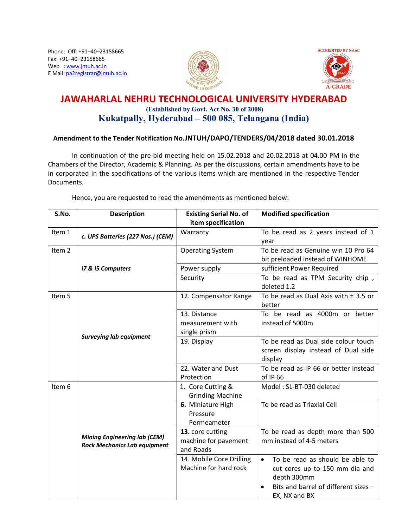Phone: Off: +91–40–23158665 Fax: +91–40–23158665 Web : www.jntuh.ac.in E Mail: pa2registrar@jntuh.ac.in





# **JAWAHARLAL NEHRU TECHNOLOGICAL UNIVERSITY HYDERABAD (Established by Govt. Act No. 30 of 2008) Kukatpally, Hyderabad – 500 085, Telangana (India)**

### **Amendment to the Tender Notification No.JNTUH/DAPO/TENDERS/04/2018 dated 30.01.2018**

In continuation of the pre-bid meeting held on 15.02.2018 and 20.02.2018 at 04.00 PM in the Chambers of the Director, Academic & Planning. As per the discussions, certain amendments have to be in corporated in the specifications of the various items which are mentioned in the respective Tender Documents.

Hence, you are requested to read the amendments as mentioned below:

| S.No.             | <b>Description</b>                                                         | <b>Existing Serial No. of</b>                         | <b>Modified specification</b>                                                                                                                          |
|-------------------|----------------------------------------------------------------------------|-------------------------------------------------------|--------------------------------------------------------------------------------------------------------------------------------------------------------|
|                   |                                                                            | item specification                                    |                                                                                                                                                        |
| Item 1            | c. UPS Batteries (227 Nos.) (CEM)                                          | Warranty                                              | To be read as 2 years instead of 1<br>year                                                                                                             |
| Item <sub>2</sub> |                                                                            | <b>Operating System</b>                               | To be read as Genuine win 10 Pro 64<br>bit preloaded instead of WINHOME                                                                                |
|                   | i7 & i5 Computers                                                          | Power supply                                          | sufficient Power Required                                                                                                                              |
|                   |                                                                            | Security                                              | To be read as TPM Security chip,<br>deleted 1.2                                                                                                        |
| Item 5            |                                                                            | 12. Compensator Range                                 | To be read as Dual Axis with $\pm$ 3.5 or<br>better                                                                                                    |
|                   |                                                                            | 13. Distance<br>measurement with                      | To be read as 4000m or better<br>instead of 5000m                                                                                                      |
|                   | <b>Surveying lab equipment</b>                                             | single prism<br>19. Display                           | To be read as Dual side colour touch<br>screen display instead of Dual side<br>display                                                                 |
|                   |                                                                            | 22. Water and Dust<br>Protection                      | To be read as IP 66 or better instead<br>of IP 66                                                                                                      |
| Item 6            |                                                                            | 1. Core Cutting &<br><b>Grinding Machine</b>          | Model: SL-BT-030 deleted                                                                                                                               |
|                   |                                                                            | 6. Miniature High<br>Pressure<br>Permeameter          | To be read as Triaxial Cell                                                                                                                            |
|                   | <b>Mining Engineering lab (CEM)</b><br><b>Rock Mechanics Lab equipment</b> | 13. core cutting<br>machine for pavement<br>and Roads | To be read as depth more than 500<br>mm instead of 4-5 meters                                                                                          |
|                   |                                                                            | 14. Mobile Core Drilling<br>Machine for hard rock     | To be read as should be able to<br>$\bullet$<br>cut cores up to 150 mm dia and<br>depth 300mm<br>Bits and barrel of different sizes -<br>EX, NX and BX |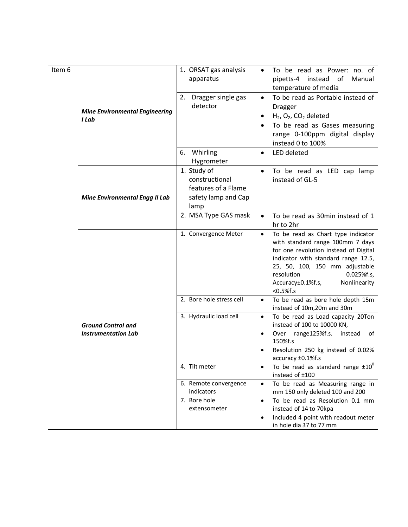| Item 6                                | <b>Mine Environmental Engineering</b><br>I Lab          | 1. ORSAT gas analysis<br>apparatus                                                  | To be read as Power: no. of<br>٠<br>pipetts-4 instead of<br>Manual<br>temperature of media                                                                                                                                                                                                |
|---------------------------------------|---------------------------------------------------------|-------------------------------------------------------------------------------------|-------------------------------------------------------------------------------------------------------------------------------------------------------------------------------------------------------------------------------------------------------------------------------------------|
|                                       |                                                         | 2. Dragger single gas<br>detector                                                   | To be read as Portable instead of<br>$\bullet$<br><b>Dragger</b><br>$H_2$ , O <sub>2</sub> , CO <sub>2</sub> deleted<br>٠<br>To be read as Gases measuring<br>range 0-100ppm digital display<br>instead 0 to 100%                                                                         |
|                                       |                                                         | Whirling<br>6.<br>Hygrometer                                                        | LED deleted<br>$\bullet$                                                                                                                                                                                                                                                                  |
| <b>Mine Environmental Engg II Lab</b> |                                                         | 1. Study of<br>constructional<br>features of a Flame<br>safety lamp and Cap<br>lamp | To be read as LED cap lamp<br>٠<br>instead of GL-5                                                                                                                                                                                                                                        |
|                                       |                                                         | 2. MSA Type GAS mask                                                                | To be read as 30min instead of 1<br>$\bullet$<br>hr to 2hr                                                                                                                                                                                                                                |
|                                       | <b>Ground Control and</b><br><b>Instrumentation Lab</b> | 1. Convergence Meter                                                                | To be read as Chart type indicator<br>$\bullet$<br>with standard range 100mm 7 days<br>for one revolution instead of Digital<br>indicator with standard range 12.5,<br>25, 50, 100, 150 mm adjustable<br>resolution<br>$0.025%$ f.s,<br>Nonlinearity<br>Accuracy±0.1%f.s,<br>$< 0.5%$ f.s |
|                                       |                                                         | 2. Bore hole stress cell                                                            | To be read as bore hole depth 15m<br>$\bullet$<br>instead of 10m, 20m and 30m                                                                                                                                                                                                             |
|                                       |                                                         | 3. Hydraulic load cell                                                              | To be read as Load capacity 20Ton<br>$\bullet$<br>instead of 100 to 10000 KN,<br>Over range125%f.s. instead of<br>٠<br>150%f.s<br>Resolution 250 kg instead of 0.02%<br>accuracy ±0.1%f.s                                                                                                 |
|                                       |                                                         | 4. Tilt meter                                                                       | To be read as standard range $\pm 10^0$<br>$\bullet$<br>instead of ±100                                                                                                                                                                                                                   |
|                                       | 6. Remote convergence<br>indicators                     | To be read as Measuring range in<br>$\bullet$<br>mm 150 only deleted 100 and 200    |                                                                                                                                                                                                                                                                                           |
|                                       |                                                         | 7. Bore hole<br>extensometer                                                        | To be read as Resolution 0.1 mm<br>$\bullet$<br>instead of 14 to 70kpa<br>Included 4 point with readout meter<br>$\bullet$<br>in hole dia 37 to 77 mm                                                                                                                                     |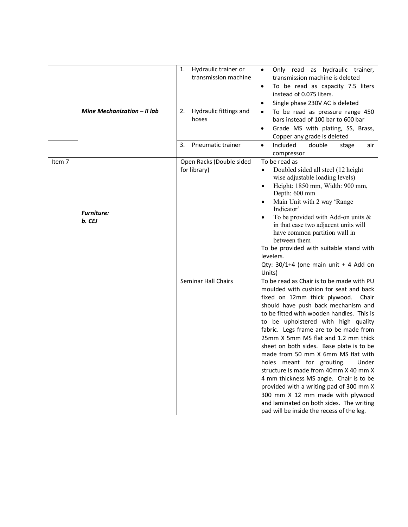|        | Mine Mechanization - II lab | 1.<br>Hydraulic trainer or<br>transmission machine<br>Hydraulic fittings and<br>2.<br>hoses | Only read as hydraulic trainer,<br>$\bullet$<br>transmission machine is deleted<br>To be read as capacity 7.5 liters<br>$\bullet$<br>instead of 0.075 liters.<br>Single phase 230V AC is deleted<br>To be read as pressure range 450<br>$\bullet$<br>bars instead of 100 bar to 600 bar<br>Grade MS with plating, SS, Brass,<br>$\bullet$<br>Copper any grade is deleted                                                                                                                                                                                                                                                                                                                                                  |
|--------|-----------------------------|---------------------------------------------------------------------------------------------|---------------------------------------------------------------------------------------------------------------------------------------------------------------------------------------------------------------------------------------------------------------------------------------------------------------------------------------------------------------------------------------------------------------------------------------------------------------------------------------------------------------------------------------------------------------------------------------------------------------------------------------------------------------------------------------------------------------------------|
|        |                             | 3.<br>Pneumatic trainer                                                                     | Included<br>double<br>$\bullet$<br>stage<br>air<br>compressor                                                                                                                                                                                                                                                                                                                                                                                                                                                                                                                                                                                                                                                             |
| Item 7 | <b>Furniture:</b><br>b. CEJ | Open Racks (Double sided<br>for library)                                                    | To be read as<br>Doubled sided all steel (12 height<br>$\bullet$<br>wise adjustable loading levels)<br>Height: 1850 mm, Width: 900 mm,<br>$\bullet$<br>Depth: 600 mm<br>Main Unit with 2 way 'Range<br>Indicator'<br>To be provided with Add-on units $\&$<br>in that case two adjacent units will<br>have common partition wall in<br>between them<br>To be provided with suitable stand with<br>levelers.<br>Qty: $30/1+4$ (one main unit + 4 Add on<br>Units)                                                                                                                                                                                                                                                          |
|        |                             | <b>Seminar Hall Chairs</b>                                                                  | To be read as Chair is to be made with PU<br>moulded with cushion for seat and back<br>fixed on 12mm thick plywood.<br>Chair<br>should have push back mechanism and<br>to be fitted with wooden handles. This is<br>to be upholstered with high quality<br>fabric. Legs frame are to be made from<br>25mm X 5mm MS flat and 1.2 mm thick<br>sheet on both sides. Base plate is to be<br>made from 50 mm X 6mm MS flat with<br>holes meant for grouting. Under<br>structure is made from 40mm X 40 mm X<br>4 mm thickness MS angle. Chair is to be<br>provided with a writing pad of 300 mm X<br>300 mm X 12 mm made with plywood<br>and laminated on both sides. The writing<br>pad will be inside the recess of the leg. |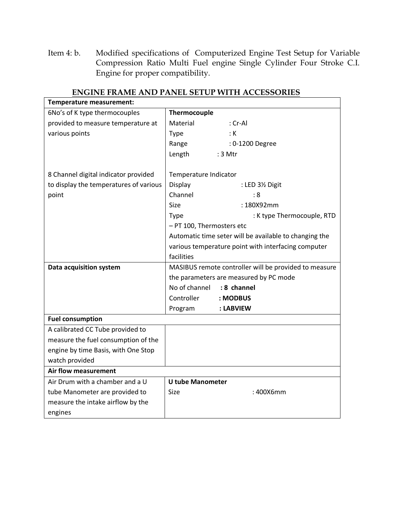Item 4: b. Modified specifications of Computerized Engine Test Setup for Variable Compression Ratio Multi Fuel engine Single Cylinder Four Stroke C.I. Engine for proper compatibility.

| Temperature measurement:               |                                                        |  |  |
|----------------------------------------|--------------------------------------------------------|--|--|
| 6No's of K type thermocouples          | Thermocouple                                           |  |  |
| provided to measure temperature at     | Material<br>: Cr-Al                                    |  |  |
| various points                         | : K<br><b>Type</b>                                     |  |  |
|                                        | Range<br>: 0-1200 Degree                               |  |  |
|                                        | Length<br>$:3$ Mtr                                     |  |  |
|                                        |                                                        |  |  |
| 8 Channel digital indicator provided   | Temperature Indicator                                  |  |  |
| to display the temperatures of various | Display<br>: LED 3½ Digit                              |  |  |
| point                                  | Channel<br>:8                                          |  |  |
|                                        | : 180X92mm<br><b>Size</b>                              |  |  |
|                                        | : K type Thermocouple, RTD<br><b>Type</b>              |  |  |
|                                        | - PT 100, Thermosters etc                              |  |  |
|                                        | Automatic time seter will be available to changing the |  |  |
|                                        | various temperature point with interfacing computer    |  |  |
|                                        | facilities                                             |  |  |
| Data acquisition system                | MASIBUS remote controller will be provided to measure  |  |  |
|                                        | the parameters are measured by PC mode                 |  |  |
|                                        | No of channel<br>: 8 channel                           |  |  |
|                                        | Controller<br>: MODBUS                                 |  |  |
|                                        | Program<br>: LABVIEW                                   |  |  |
| <b>Fuel consumption</b>                |                                                        |  |  |
| A calibrated CC Tube provided to       |                                                        |  |  |
| measure the fuel consumption of the    |                                                        |  |  |
| engine by time Basis, with One Stop    |                                                        |  |  |
| watch provided                         |                                                        |  |  |
| Air flow measurement                   |                                                        |  |  |
| Air Drum with a chamber and a U        | <b>U tube Manometer</b>                                |  |  |
| tube Manometer are provided to         | <b>Size</b><br>: 400X6mm                               |  |  |
| measure the intake airflow by the      |                                                        |  |  |
| engines                                |                                                        |  |  |

### **ENGINE FRAME AND PANEL SETUP WITH ACCESSORIES**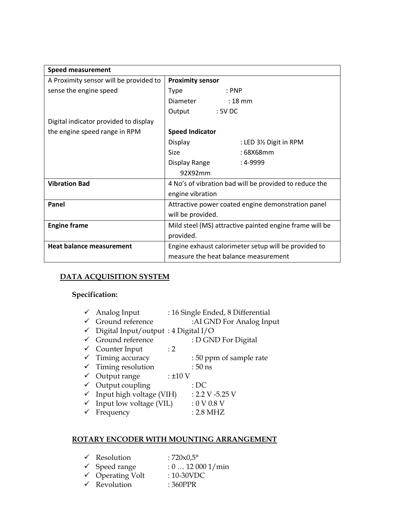| <b>Speed measurement</b>               |                                                         |  |  |
|----------------------------------------|---------------------------------------------------------|--|--|
| A Proximity sensor will be provided to | <b>Proximity sensor</b>                                 |  |  |
| sense the engine speed                 | : PNP<br>Type                                           |  |  |
|                                        | Diameter<br>$: 18 \text{ mm}$                           |  |  |
|                                        | $:5V$ DC<br>Output                                      |  |  |
| Digital indicator provided to display  |                                                         |  |  |
| the engine speed range in RPM          | <b>Speed Indicator</b>                                  |  |  |
|                                        | Display<br>: LED 3½ Digit in RPM                        |  |  |
|                                        | Size<br>: 68X68mm                                       |  |  |
|                                        | Display Range<br>: 4-9999                               |  |  |
|                                        | 92X92mm                                                 |  |  |
| <b>Vibration Bad</b>                   | 4 No's of vibration bad will be provided to reduce the  |  |  |
|                                        | engine vibration                                        |  |  |
| Panel                                  | Attractive power coated engine demonstration panel      |  |  |
|                                        | will be provided.                                       |  |  |
| <b>Engine frame</b>                    | Mild steel (MS) attractive painted engine frame will be |  |  |
|                                        | provided.                                               |  |  |
| <b>Heat balance measurement</b>        | Engine exhaust calorimeter setup will be provided to    |  |  |
|                                        | measure the heat balance measurement                    |  |  |

### **DATA ACQUISITION SYSTEM**

# **Specification:**

|              | $\checkmark$ Analog Input           |              | : 16 Single Ended, 8 Differential |
|--------------|-------------------------------------|--------------|-----------------------------------|
| $\checkmark$ | Ground reference                    |              | :AI GND For Analog Input          |
| $\checkmark$ | Digital Input/output: 4 Digital I/O |              |                                   |
| $\checkmark$ | Ground reference                    |              | : D GND For Digital               |
|              | $\checkmark$ Counter Input          | $\cdot$ 2    |                                   |
|              | $\checkmark$ Timing accuracy        |              | : 50 ppm of sample rate           |
|              | $\checkmark$ Timing resolution      |              | $:50$ ns                          |
|              | $\checkmark$ Output range           | $: \pm 10$ V |                                   |
|              | $\checkmark$ Output coupling        |              | :DC                               |
| $\checkmark$ | Input high voltage (VIH)            |              | $: 2.2 V - 5.25 V$                |
| $\checkmark$ | Input low voltage (VIL)             |              | :0 V 0.8 V                        |
|              | Frequency                           |              | $: 2.8$ MHZ                       |
|              |                                     |              |                                   |

# **ROTARY ENCODER WITH MOUNTING ARRANGEMENT**

| $\checkmark$ Resolution     | : $720 \times 0.5^{\circ}$ |
|-----------------------------|----------------------------|
| $\checkmark$ Speed range    | : 0120001/min              |
| $\checkmark$ Operating Volt | $:10-30$ VDC               |
| $\checkmark$ Revolution     | $:360$ PPR                 |